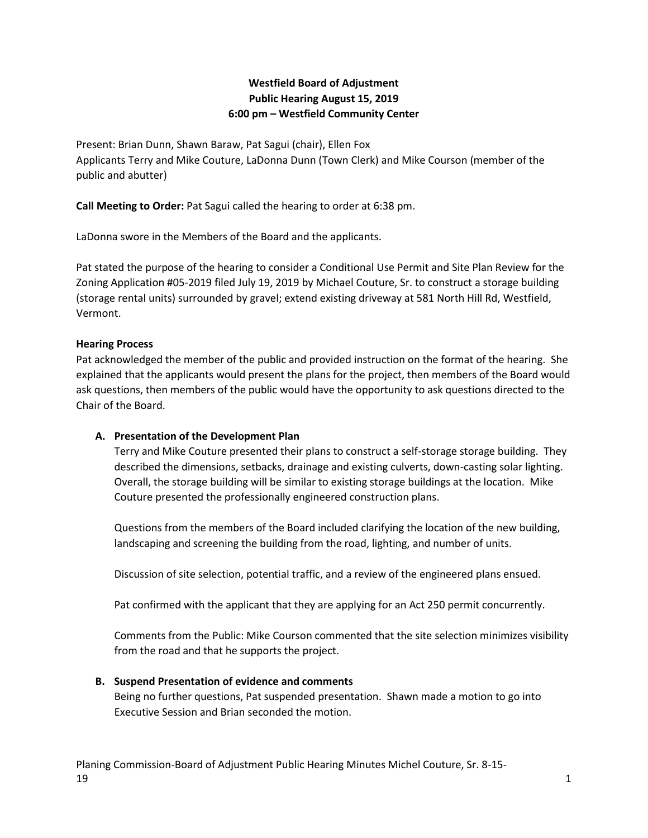# **Westfield Board of Adjustment Public Hearing August 15, 2019 6:00 pm – Westfield Community Center**

Present: Brian Dunn, Shawn Baraw, Pat Sagui (chair), Ellen Fox Applicants Terry and Mike Couture, LaDonna Dunn (Town Clerk) and Mike Courson (member of the public and abutter)

**Call Meeting to Order:** Pat Sagui called the hearing to order at 6:38 pm.

LaDonna swore in the Members of the Board and the applicants.

Pat stated the purpose of the hearing to consider a Conditional Use Permit and Site Plan Review for the Zoning Application #05-2019 filed July 19, 2019 by Michael Couture, Sr. to construct a storage building (storage rental units) surrounded by gravel; extend existing driveway at 581 North Hill Rd, Westfield, Vermont.

### **Hearing Process**

Pat acknowledged the member of the public and provided instruction on the format of the hearing. She explained that the applicants would present the plans for the project, then members of the Board would ask questions, then members of the public would have the opportunity to ask questions directed to the Chair of the Board.

#### **A. Presentation of the Development Plan**

Terry and Mike Couture presented their plans to construct a self-storage storage building. They described the dimensions, setbacks, drainage and existing culverts, down-casting solar lighting. Overall, the storage building will be similar to existing storage buildings at the location. Mike Couture presented the professionally engineered construction plans.

Questions from the members of the Board included clarifying the location of the new building, landscaping and screening the building from the road, lighting, and number of units.

Discussion of site selection, potential traffic, and a review of the engineered plans ensued.

Pat confirmed with the applicant that they are applying for an Act 250 permit concurrently.

Comments from the Public: Mike Courson commented that the site selection minimizes visibility from the road and that he supports the project.

#### **B. Suspend Presentation of evidence and comments**

Being no further questions, Pat suspended presentation. Shawn made a motion to go into Executive Session and Brian seconded the motion.